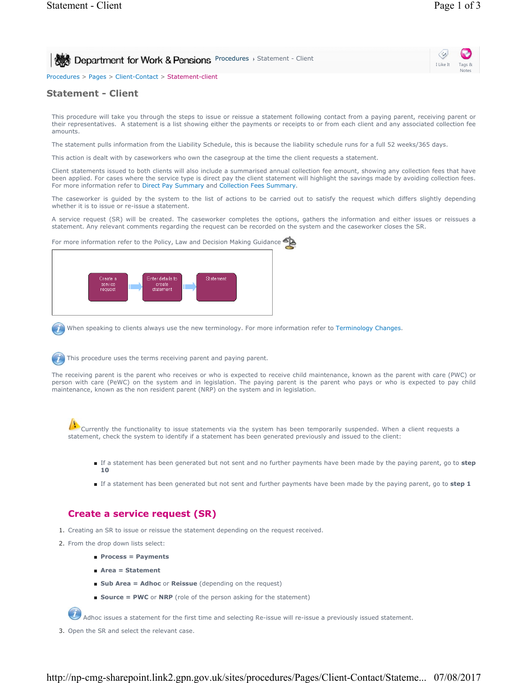I Like It Notes

Procedures > Pages > Client-Contact > Statement-client

# **Statement - Client**

This procedure will take you through the steps to issue or reissue a statement following contact from a paying parent, receiving parent or their representatives. A statement is a list showing either the payments or receipts to or from each client and any associated collection fee amounts.

The statement pulls information from the Liability Schedule, this is because the liability schedule runs for a full 52 weeks/365 days.

This action is dealt with by caseworkers who own the casegroup at the time the client requests a statement.

Client statements issued to both clients will also include a summarised annual collection fee amount, showing any collection fees that have been applied. For cases where the service type is direct pay the client statement will highlight the savings made by avoiding collection fees. For more information refer to Direct Pay Summary and Collection Fees Summary.

The caseworker is guided by the system to the list of actions to be carried out to satisfy the request which differs slightly depending whether it is to issue or re-issue a statement.

A service request (SR) will be created. The caseworker completes the options, gathers the information and either issues or reissues a statement. Any relevant comments regarding the request can be recorded on the system and the caseworker closes the SR.

For more information refer to the Policy, Law and Decision Making Guidance



When speaking to clients always use the new terminology. For more information refer to Terminology Changes.

This procedure uses the terms receiving parent and paying parent.

The receiving parent is the parent who receives or who is expected to receive child maintenance, known as the parent with care (PWC) or person with care (PeWC) on the system and in legislation. The paying parent is the parent who pays or who is expected to pay child maintenance, known as the non resident parent (NRP) on the system and in legislation.

Currently the functionality to issue statements via the system has been temporarily suspended. When a client requests a statement, check the system to identify if a statement has been generated previously and issued to the client:

- If a statement has been generated but not sent and no further payments have been made by the paying parent, go to step **10**
- If a statement has been generated but not sent and further payments have been made by the paying parent, go to step 1

# **Create a service request (SR)**

- 1. Creating an SR to issue or reissue the statement depending on the request received.
- 2. From the drop down lists select:
	- **Process = Payments**
	- **Area = Statement**
	- **Sub Area = Adhoc** or **Reissue** (depending on the request)
	- **Source = PWC** or **NRP** (role of the person asking for the statement)

Adhoc issues a statement for the first time and selecting Re-issue will re-issue a previously issued statement.

3. Open the SR and select the relevant case.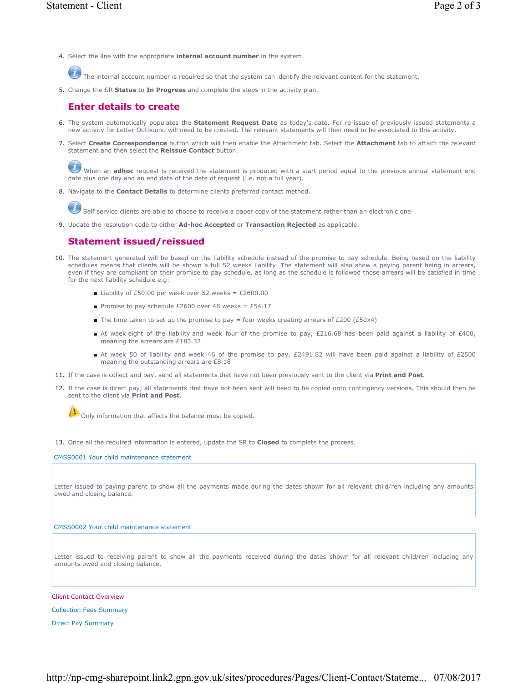4. Select the line with the appropriate **internal account number** in the system.

The internal account number is required so that the system can identify the relevant content for the statement.

5. Change the SR **Status** to **In Progress** and complete the steps in the activity plan.

### **Enter details to create**

- 6. The system automatically populates the **Statement Request Date** as today's date. For re-issue of previously issued statements a new activity for Letter Outbound will need to be created. The relevant statements will then need to be associated to this activity.
- 7. Select Create Correspondence button which will then enable the Attachment tab. Select the Attachment tab to attach the relevant statement and then select the **Reissue Contact** button.

When an **adhoc** request is received the statement is produced with a start period equal to the previous annual statement end date plus one day and an end date of the date of request (i.e. not a full year).

8. Navigate to the **Contact Details** to determine clients preferred contact method.

Self service clients are able to choose to receive a paper copy of the statement rather than an electronic one.

9. Update the resolution code to either **Ad-hoc Accepted** or **Transaction Rejected** as applicable.

## **Statement issued/reissued**

- 10. The statement generated will be based on the liability schedule instead of the promise to pay schedule. Being based on the liability schedules means that clients will be shown a full 52 weeks liability. The statement will also show a paying parent being in arrears, even if they are compliant on their promise to pay schedule, as long as the schedule is followed those arrears will be satisfied in time for the next liability schedule e.g:
	- Liability of £50.00 per week over 52 weeks = £2600.00
	- Promise to pay schedule £2600 over 48 weeks = £54.17
	- The time taken to set up the promise to pay = four weeks creating arrears of £200 (£50x4)
	- At week eight of the liability and week four of the promise to pay, £216.68 has been paid against a liability of £400, meaning the arrears are £183.32
	- At week 50 of liability and week 46 of the promise to pay, £2491.82 will have been paid against a liability of £2500 meaning the outstanding arrears are £8.18
- 11. If the case is collect and pay, send all statements that have not been previously sent to the client via **Print and Post**.
- 12. If the case is direct pay, all statements that have not been sent will need to be copied onto contingency versions. This should then be sent to the client via **Print and Post**.

Only information that affects the balance must be copied.

13. Once all the required information is entered, update the SR to **Closed** to complete the process.

CMSS0001 Your child maintenance statement

Letter issued to paying parent to show all the payments made during the dates shown for all relevant child/ren including any amounts owed and closing balance.

#### CMSS0002 Your child maintenance statement

Letter issued to receiving parent to show all the payments received during the dates shown for all relevant child/ren including any amounts owed and closing balance.

Client Contact Overview

Collection Fees Summary

Direct Pay Summary